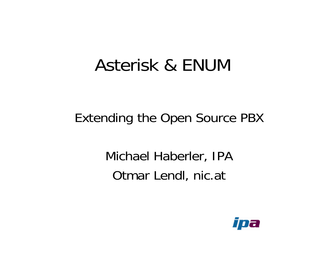### Asterisk & ENUM

### Extending the Open Source PBX

### Michael Haberler, IPA Otmar Lendl, nic.at

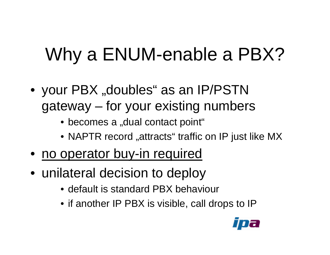# Why a ENUM-enable a PBX?

- your PBX "doubles" as an IP/PSTN gateway – for your existing numbers
	- becomes a "dual contact point"
	- $\bullet$  NAPTR record "attracts" traffic on IP just like MX
- no operator buy-in required
- unilateral decision to deploy
	- •default is standard PBX behaviour
	- if another IP PBX is visible, call drops to IP

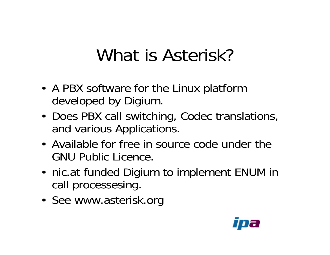### What is Asterisk?

- A PBX software for the Linux platform developed by Digium.
- Does PBX call switching, Codec translations, and various Applications.
- •Available for free in source code under the GNU Public Licence.
- nic.at funded Digium to implement ENUM in call processesing.
- See www.asterisk.org

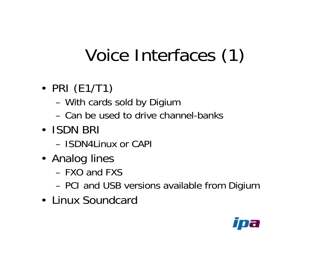### Voice Interfaces (1)

- PRI (E1/T1)
	- With cards sold by Digium
	- –Can be used to drive channel-banks
- ISDN BRI
	- ISDN4Linux or CAPI
- Analog lines
	- FXO and FXS
	- PCI and USB versions available from Digium
- Linux Soundcard

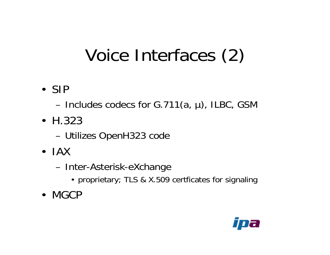### Voice Interfaces (2)

• SIP

– Includes codecs for G.711(a, µ), ILBC, GSM

- H.323
	- Utilizes OpenH323 code
- IAX
	- –- Inter-Asterisk-eXchange
		- proprietary; TLS & X.509 certficates for signaling
- MGCP

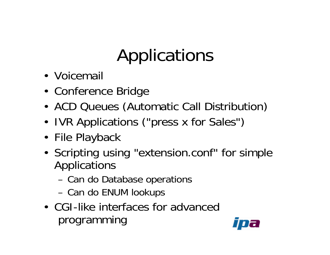# Applications

- Voicemail
- Conference Bridge
- ACD Queues (Automatic Call Distribution)
- IVR Applications ("press x for Sales")
- File Playback
- Scripting using "extension.conf" for simple Applications
	- Can do Database operations
	- Can do ENUM lookups
- •CGI-like interfaces for advancedprogramming

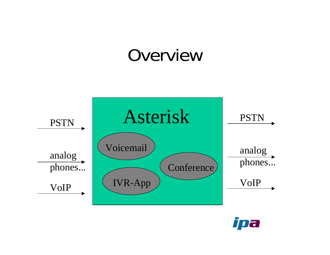### Overview



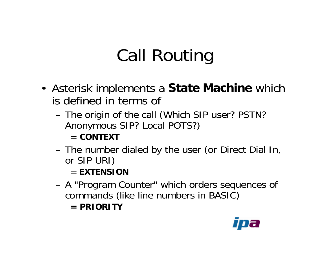# Call Routing

- Asterisk implements a **State Machine** which is defined in terms of
	- The origin of the call (Which SIP user? PSTN? Anonymous SIP? Local POTS?)

#### **= CONTEXT**

– The number dialed by the user (or Direct Dial In, or SIP URI)

#### = **EXTENSION**

- A "Program Counter" which orders sequences of commands (like line numbers in BASIC)
	- **= PRIORITY**

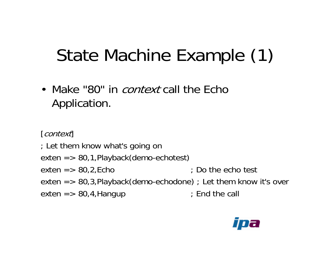### State Machine Example (1)

• Make "80" in *context* call the Echo Application.

[context]

- ; Let them know what's going on
- exten => 80,1,Playback(demo-echotest)
- exten  $=$  > 80,2, Echo  $\pm$  Do the echo test
- exten => 80,3,Playback(demo-echodone) ; Let them know i t's over
- exten => 80,4,Hangup ; End the call

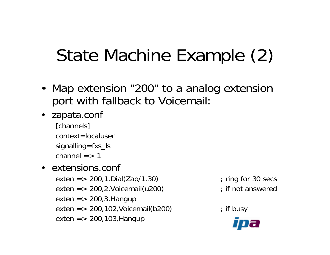# State Machine Example (2)

- Map extension "200" to a analog extension port with fallback to Voicemail:
- zapata.conf
	- [channels] context=localusersignalling=fxs\_ls channel  $=> 1$
- $\bullet$  extensions.conf  $\bullet$

exten => 200, exten => 200,2,Voicemail(u200) ; if not answered exten => 200,3,Hangup exten => 200,102,Voicemail(b200) ; if busy exten => 200,103,Hangup

 $;$  ring for 30 secs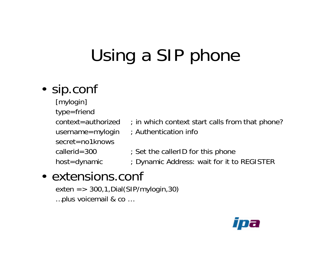# Using a SIP phone

#### • sip.conf

- [mylogin] type=friend context=authorizedsecret=no1knowscallerid=300
- ; in which context start calls from that phone?
- username=mylogin ; Authentication info
	- ; Set the callerID for this phone
- host=dynamic ; Dynamic Address: wait for it to REGISTER

### • extensions.conf

exten => 300,1,Dial(SIP/mylogin,30) …plus voicemail & co …

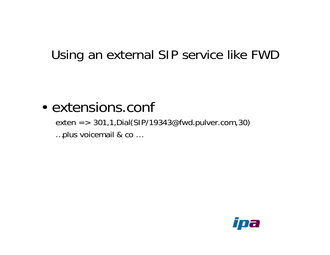#### Using an external SIP service like FWD

#### • extensions.conf

exten => 301,1,Dial(SIP/19343@fwd.pulver.com,30) …plus voicemail & co …

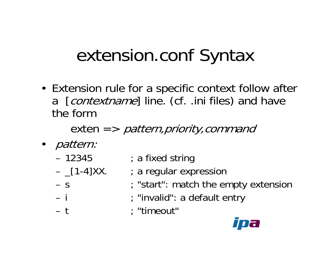### extension.conf Syntax

• Extension rule for a specific context follow after a [*contextname*] line. (cf. .ini files) and have the form

exten *=> pattern,priority,command* 

- pattern:
	- –12345
	- –
	- $-$  S
	- –

–

- ; a fixed string
- ; a regular expression
- ; "start": match the empty extension
- i ; "invalid": a default entry
- t ; "timeout"

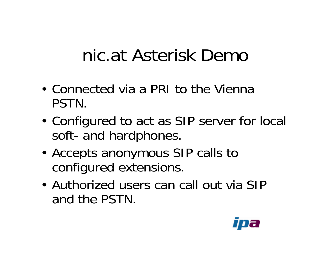### nic.at Asterisk Demo

- Connected via a PRI to the Vienna PSTN.
- Configured to act as SIP server for local soft-and hardphones.
- Accepts anonymous SIP calls to configured extensions.
- Authorized users can call out via SIP and the PSTN.

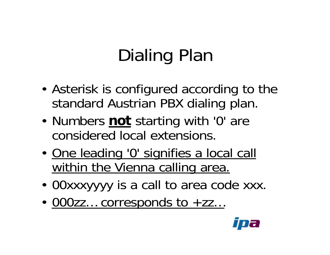# Dialing Plan

- Asterisk is configured according to the standard Austrian PBX dialing plan.
- Numbers **not** starting with '0' are considered local extensions.
- One leading '0' signifies a local call within the Vienna calling area.
- 00xxxyyyy is a call to area code xxx.
- <u>000zz... corresponds to +zz...</u>

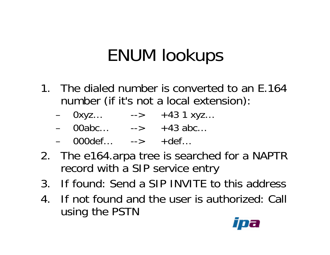### ENUM lookups

- 1. The dialed number is converted to an E.164 number (if it's not a local extension):
	- 0xyz… --> +43 1 xyz…
	- –00abc… --> +43 abc…
	- –000def…--> +def…
- 2. The e164.arpa tree is searched for a NAPTR record with a SIP service entry
- 3. If found: Send a SIP INVITE to this address
- 4. If not found and the user is authorized: Call using the PSTN

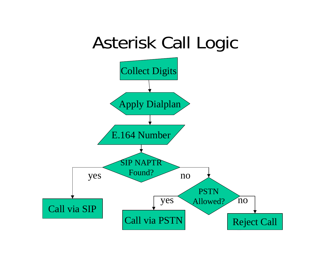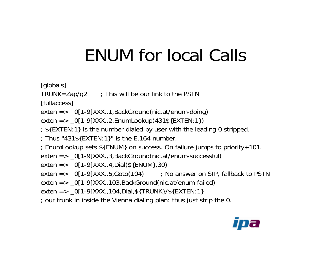### ENUM for local Calls

[globals]

TRUNK=Zap/g2  $\longrightarrow$  7 This will be our link to the PSTN

[fullaccess]

exten => \_0[1-9]XXX.,1,BackGround(nic.at/enum-doing)

exten => \_0[1-9]XXX.,2,EnumLookup(431\${EXTEN:1})

- ; \${EXTEN:1} is the number dialed by user with the leading 0 stripped.
- ; Thus "431\${EXTEN:1}" is the E.164 number.
- ; EnumLookup sets \${ENUM} on success. On failure j umps to priority+101.
- exten => \_0[1-9]XXX.,3,BackGround(nic.at/enum-successful)
- exten => \_0[1-9]XXX.,4,Dial(\${ENUM},30)
- exten => \_0[1-9]XXX.,5,Goto(104) ; No answer on SIP, fallback to PSTN
- exten => \_0[1-9]XXX.,103,BackGround(nic.at/enum-failed)
- exten => \_0[1-9]XXX.,104,Dial,\${TRUNK}/\${EXTEN:1}
- ; our trunk in inside the Vienna dialing plan: thus just strip the 0.

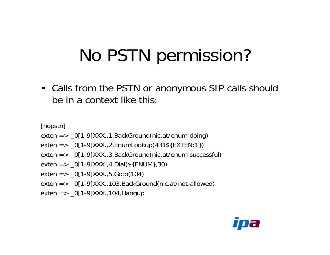### No PSTN permission?

• Calls from the PSTN or anonymous SIP calls should be in a context like this:

[nopstn]

- exten => \_0[1-9]XXX.,1,BackGround(nic.at/enum-doing)
- exten => \_0[1-9]XXX.,2,EnumLookup(431\${EXTEN:1})
- exten => \_0[1-9]XXX.,3,BackGround(nic.at/enum-successful)
- exten => \_0[1-9]XXX.,4,Dial(\${ENUM},30)
- exten => \_0[1-9]XXX.,5,Goto(104)
- exten => \_0[1-9]XXX.,103,BackGround(nic.at/not-allowed)
- exten => \_0[1-9]XXX.,104,Hangup

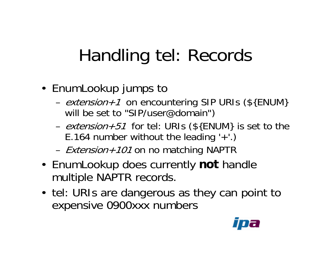### Handling tel: Records

- EnumLookup jumps to
	- –- extension+1 on encountering SIP URIs (\${ENUM} will be set to "SIP/user@domain")
	- –- *extension+51* for tel: URIs (\${ENUM} is set to the E.164 number without the leading  $'+'.$ )
	- –- *Extension+101* on no matching NAPTR
- EnumLookup does currently **not** handle multiple NAPTR records.
- tel: URIs are dangerous as they can point to expensive 0900xxx numbers

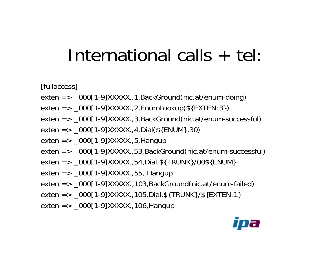### International calls + tel:

[fullaccess]

- exten => \_000[1-9]XXXXX.,1,BackGround(nic.at/enum-doing)
- exten => \_000[1-9]XXXXX.,2,EnumLookup(\${EXTEN:3})
- exten => \_000[1-9]XXXXX.,3,BackGround(nic.at/enum-successful)
- exten => \_000[1-9]XXXXX.,4,Dial(\${ENUM},30)
- exten => \_000[1-9]XXXXX.,5,Hangup
- exten => \_000[1-9]XXXXX.,53,BackGround(nic.at/enum-successful)
- exten => \_000[1-9]XXXXX.,54,Dial,\${TRUNK}/00\${ENUM}
- exten => \_000[1-9]XXXXX.,55, Hangup
- exten => \_000[1-9]XXXXX.,103,BackGround(nic.at/enum-failed)
- exten => \_000[1-9]XXXXX.,105,Dial,\${TRUNK}/\${EXTEN:1}
- exten => \_000[1-9]XXXXX.,106,Hangup